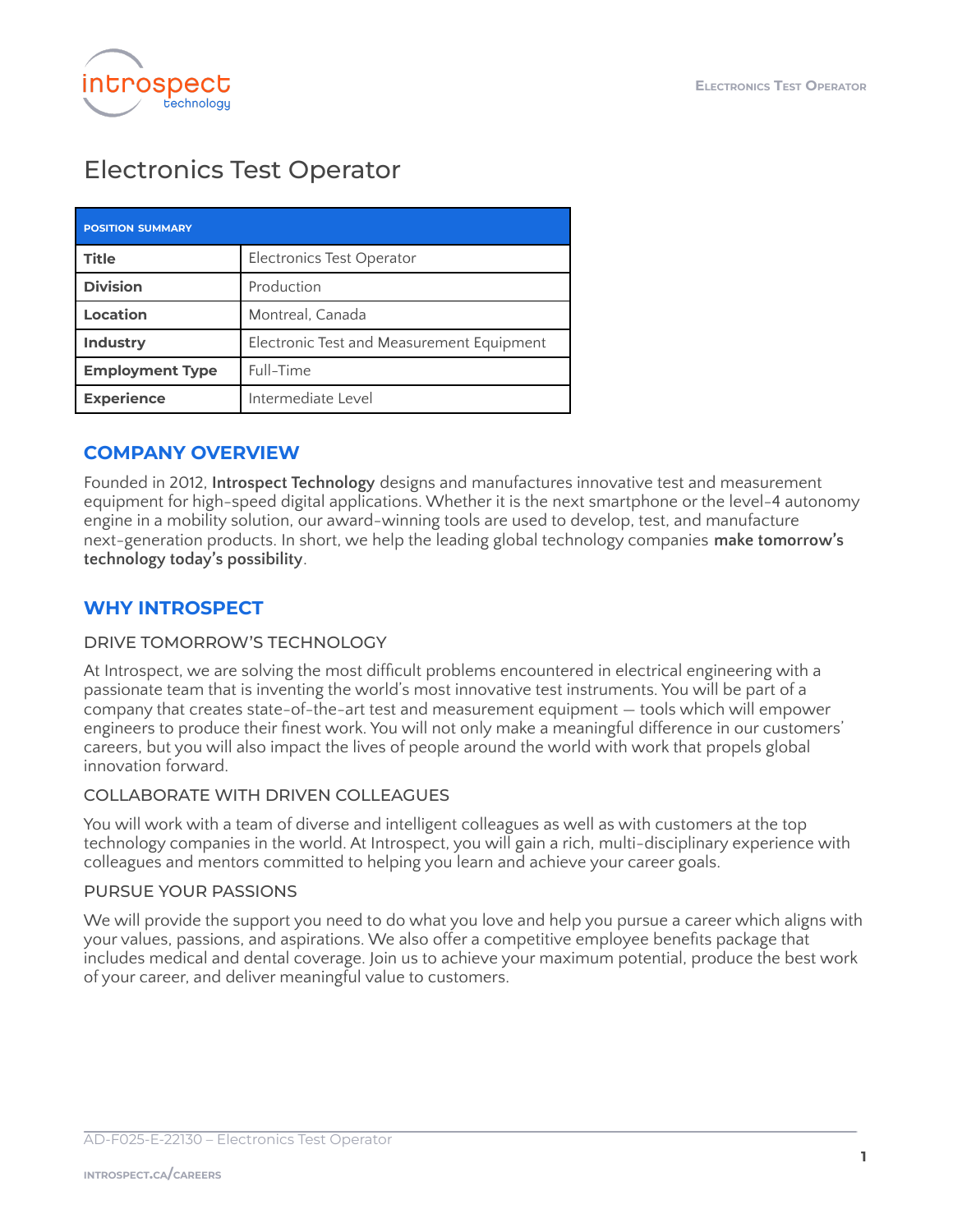

# Electronics Test Operator

| <b>POSITION SUMMARY</b> |                                           |
|-------------------------|-------------------------------------------|
| <b>Title</b>            | Electronics Test Operator                 |
| <b>Division</b>         | Production                                |
| Location                | Montreal, Canada                          |
| <b>Industry</b>         | Electronic Test and Measurement Equipment |
| <b>Employment Type</b>  | Full-Time                                 |
| <b>Experience</b>       | Intermediate Level                        |

## **COMPANY OVERVIEW**

Founded in 2012, **Introspect Technology** designs and manufactures innovative test and measurement equipment for high-speed digital applications. Whether it is the next smartphone or the level-4 autonomy engine in a mobility solution, our award-winning tools are used to develop, test, and manufacture next-generation products. In short, we help the leading global technology companies **make tomorrow's technology today's possibility**.

## **WHY INTROSPECT**

### DRIVE TOMORROW'S TECHNOLOGY

At Introspect, we are solving the most difficult problems encountered in electrical engineering with a passionate team that is inventing the world's most innovative test instruments. You will be part of a company that creates state-of-the-art test and measurement equipment — tools which will empower engineers to produce their finest work. You will not only make a meaningful difference in our customers' careers, but you will also impact the lives of people around the world with work that propels global innovation forward.

#### COLLABORATE WITH DRIVEN COLLEAGUES

You will work with a team of diverse and intelligent colleagues as well as with customers at the top technology companies in the world. At Introspect, you will gain a rich, multi-disciplinary experience with colleagues and mentors committed to helping you learn and achieve your career goals.

#### PURSUE YOUR PASSIONS

We will provide the support you need to do what you love and help you pursue a career which aligns with your values, passions, and aspirations. We also offer a competitive employee benefits package that includes medical and dental coverage. Join us to achieve your maximum potential, produce the best work of your career, and deliver meaningful value to customers.